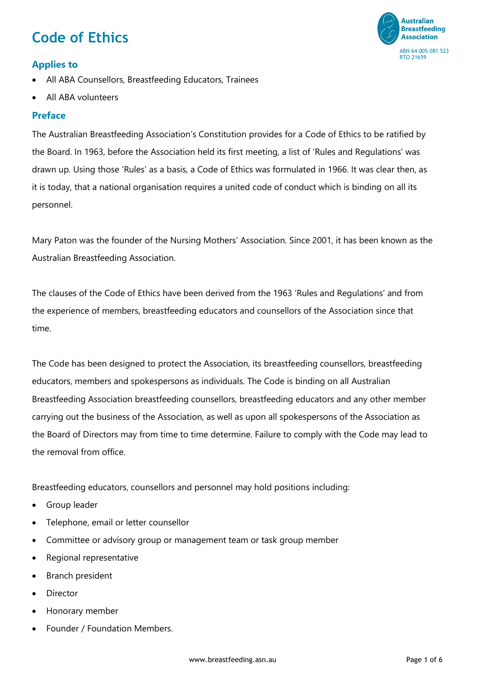# **Code of Ethics**



# **Applies to**

- All ABA Counsellors, Breastfeeding Educators, Trainees
- All ABA volunteers

## **Preface**

The Australian Breastfeeding Association's Constitution provides for a Code of Ethics to be ratified by the Board. In 1963, before the Association held its first meeting, a list of 'Rules and Regulations' was drawn up. Using those 'Rules' as a basis, a Code of Ethics was formulated in 1966. It was clear then, as it is today, that a national organisation requires a united code of conduct which is binding on all its personnel.

Mary Paton was the founder of the Nursing Mothers' Association. Since 2001, it has been known as the Australian Breastfeeding Association.

The clauses of the Code of Ethics have been derived from the 1963 'Rules and Regulations' and from the experience of members, breastfeeding educators and counsellors of the Association since that time.

The Code has been designed to protect the Association, its breastfeeding counsellors, breastfeeding educators, members and spokespersons as individuals. The Code is binding on all Australian Breastfeeding Association breastfeeding counsellors, breastfeeding educators and any other member carrying out the business of the Association, as well as upon all spokespersons of the Association as the Board of Directors may from time to time determine. Failure to comply with the Code may lead to the removal from office.

Breastfeeding educators, counsellors and personnel may hold positions including:

- Group leader
- Telephone, email or letter counsellor
- Committee or advisory group or management team or task group member
- Regional representative
- Branch president
- **Director**
- Honorary member
- Founder / Foundation Members.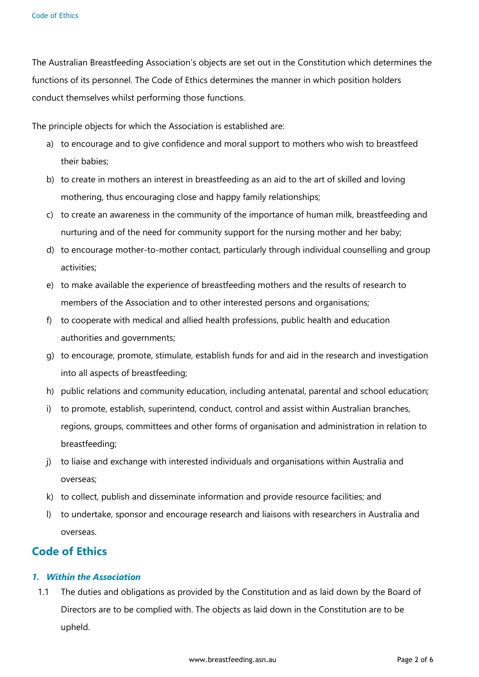The Australian Breastfeeding Association's objects are set out in the Constitution which determines the functions of its personnel. The Code of Ethics determines the manner in which position holders conduct themselves whilst performing those functions.

The principle objects for which the Association is established are:

- a) to encourage and to give confidence and moral support to mothers who wish to breastfeed their babies;
- b) to create in mothers an interest in breastfeeding as an aid to the art of skilled and loving mothering, thus encouraging close and happy family relationships;
- c) to create an awareness in the community of the importance of human milk, breastfeeding and nurturing and of the need for community support for the nursing mother and her baby;
- d) to encourage mother-to-mother contact, particularly through individual counselling and group activities;
- e) to make available the experience of breastfeeding mothers and the results of research to members of the Association and to other interested persons and organisations;
- f) to cooperate with medical and allied health professions, public health and education authorities and governments;
- g) to encourage, promote, stimulate, establish funds for and aid in the research and investigation into all aspects of breastfeeding;
- h) public relations and community education, including antenatal, parental and school education;
- i) to promote, establish, superintend, conduct, control and assist within Australian branches, regions, groups, committees and other forms of organisation and administration in relation to breastfeeding;
- j) to liaise and exchange with interested individuals and organisations within Australia and overseas;
- k) to collect, publish and disseminate information and provide resource facilities; and
- l) to undertake, sponsor and encourage research and liaisons with researchers in Australia and overseas.

# **Code of Ethics**

#### *1. Within the Association*

1.1 The duties and obligations as provided by the Constitution and as laid down by the Board of Directors are to be complied with. The objects as laid down in the Constitution are to be upheld.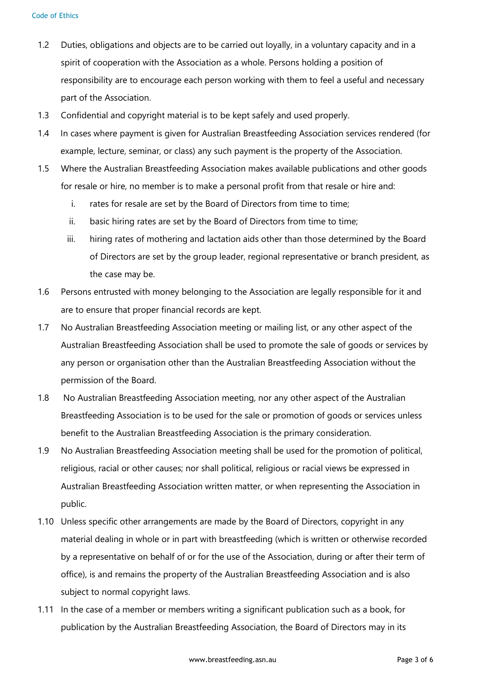- 1.2 Duties, obligations and objects are to be carried out loyally, in a voluntary capacity and in a spirit of cooperation with the Association as a whole. Persons holding a position of responsibility are to encourage each person working with them to feel a useful and necessary part of the Association.
- 1.3 Confidential and copyright material is to be kept safely and used properly.
- 1.4 In cases where payment is given for Australian Breastfeeding Association services rendered (for example, lecture, seminar, or class) any such payment is the property of the Association.
- 1.5 Where the Australian Breastfeeding Association makes available publications and other goods for resale or hire, no member is to make a personal profit from that resale or hire and:
	- i. rates for resale are set by the Board of Directors from time to time;
	- ii. basic hiring rates are set by the Board of Directors from time to time;
	- iii. hiring rates of mothering and lactation aids other than those determined by the Board of Directors are set by the group leader, regional representative or branch president, as the case may be.
- 1.6 Persons entrusted with money belonging to the Association are legally responsible for it and are to ensure that proper financial records are kept.
- 1.7 No Australian Breastfeeding Association meeting or mailing list, or any other aspect of the Australian Breastfeeding Association shall be used to promote the sale of goods or services by any person or organisation other than the Australian Breastfeeding Association without the permission of the Board.
- 1.8 No Australian Breastfeeding Association meeting, nor any other aspect of the Australian Breastfeeding Association is to be used for the sale or promotion of goods or services unless benefit to the Australian Breastfeeding Association is the primary consideration.
- 1.9 No Australian Breastfeeding Association meeting shall be used for the promotion of political, religious, racial or other causes; nor shall political, religious or racial views be expressed in Australian Breastfeeding Association written matter, or when representing the Association in public.
- 1.10 Unless specific other arrangements are made by the Board of Directors, copyright in any material dealing in whole or in part with breastfeeding (which is written or otherwise recorded by a representative on behalf of or for the use of the Association, during or after their term of office), is and remains the property of the Australian Breastfeeding Association and is also subject to normal copyright laws.
- 1.11 In the case of a member or members writing a significant publication such as a book, for publication by the Australian Breastfeeding Association, the Board of Directors may in its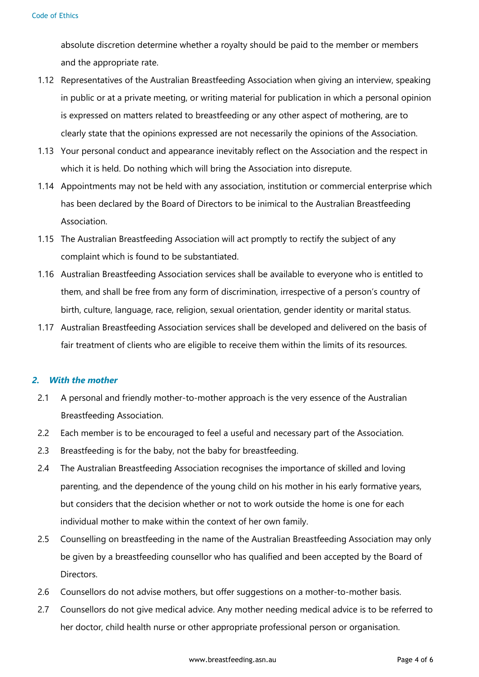absolute discretion determine whether a royalty should be paid to the member or members and the appropriate rate.

- 1.12 Representatives of the Australian Breastfeeding Association when giving an interview, speaking in public or at a private meeting, or writing material for publication in which a personal opinion is expressed on matters related to breastfeeding or any other aspect of mothering, are to clearly state that the opinions expressed are not necessarily the opinions of the Association.
- 1.13 Your personal conduct and appearance inevitably reflect on the Association and the respect in which it is held. Do nothing which will bring the Association into disrepute.
- 1.14 Appointments may not be held with any association, institution or commercial enterprise which has been declared by the Board of Directors to be inimical to the Australian Breastfeeding Association.
- 1.15 The Australian Breastfeeding Association will act promptly to rectify the subject of any complaint which is found to be substantiated.
- 1.16 Australian Breastfeeding Association services shall be available to everyone who is entitled to them, and shall be free from any form of discrimination, irrespective of a person's country of birth, culture, language, race, religion, sexual orientation, gender identity or marital status.
- 1.17 Australian Breastfeeding Association services shall be developed and delivered on the basis of fair treatment of clients who are eligible to receive them within the limits of its resources.

#### *2. With the mother*

- 2.1 A personal and friendly mother-to-mother approach is the very essence of the Australian Breastfeeding Association.
- 2.2 Each member is to be encouraged to feel a useful and necessary part of the Association.
- 2.3 Breastfeeding is for the baby, not the baby for breastfeeding.
- 2.4 The Australian Breastfeeding Association recognises the importance of skilled and loving parenting, and the dependence of the young child on his mother in his early formative years, but considers that the decision whether or not to work outside the home is one for each individual mother to make within the context of her own family.
- 2.5 Counselling on breastfeeding in the name of the Australian Breastfeeding Association may only be given by a breastfeeding counsellor who has qualified and been accepted by the Board of Directors.
- 2.6 Counsellors do not advise mothers, but offer suggestions on a mother-to-mother basis.
- 2.7 Counsellors do not give medical advice. Any mother needing medical advice is to be referred to her doctor, child health nurse or other appropriate professional person or organisation.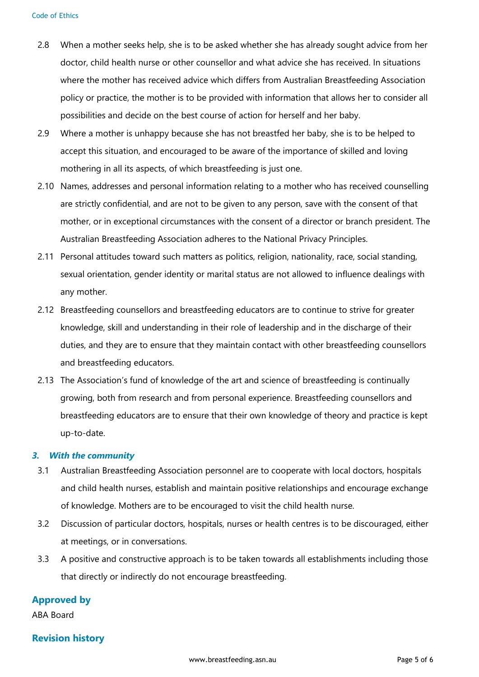- 2.8 When a mother seeks help, she is to be asked whether she has already sought advice from her doctor, child health nurse or other counsellor and what advice she has received. In situations where the mother has received advice which differs from Australian Breastfeeding Association policy or practice, the mother is to be provided with information that allows her to consider all possibilities and decide on the best course of action for herself and her baby.
- 2.9 Where a mother is unhappy because she has not breastfed her baby, she is to be helped to accept this situation, and encouraged to be aware of the importance of skilled and loving mothering in all its aspects, of which breastfeeding is just one.
- 2.10 Names, addresses and personal information relating to a mother who has received counselling are strictly confidential, and are not to be given to any person, save with the consent of that mother, or in exceptional circumstances with the consent of a director or branch president. The Australian Breastfeeding Association adheres to the National Privacy Principles.
- 2.11 Personal attitudes toward such matters as politics, religion, nationality, race, social standing, sexual orientation, gender identity or marital status are not allowed to influence dealings with any mother.
- 2.12 Breastfeeding counsellors and breastfeeding educators are to continue to strive for greater knowledge, skill and understanding in their role of leadership and in the discharge of their duties, and they are to ensure that they maintain contact with other breastfeeding counsellors and breastfeeding educators.
- 2.13 The Association's fund of knowledge of the art and science of breastfeeding is continually growing, both from research and from personal experience. Breastfeeding counsellors and breastfeeding educators are to ensure that their own knowledge of theory and practice is kept up-to-date.

#### *3. With the community*

- 3.1 Australian Breastfeeding Association personnel are to cooperate with local doctors, hospitals and child health nurses, establish and maintain positive relationships and encourage exchange of knowledge. Mothers are to be encouraged to visit the child health nurse.
- 3.2 Discussion of particular doctors, hospitals, nurses or health centres is to be discouraged, either at meetings, or in conversations.
- 3.3 A positive and constructive approach is to be taken towards all establishments including those that directly or indirectly do not encourage breastfeeding.

## **Approved by**

ABA Board

#### **Revision history**